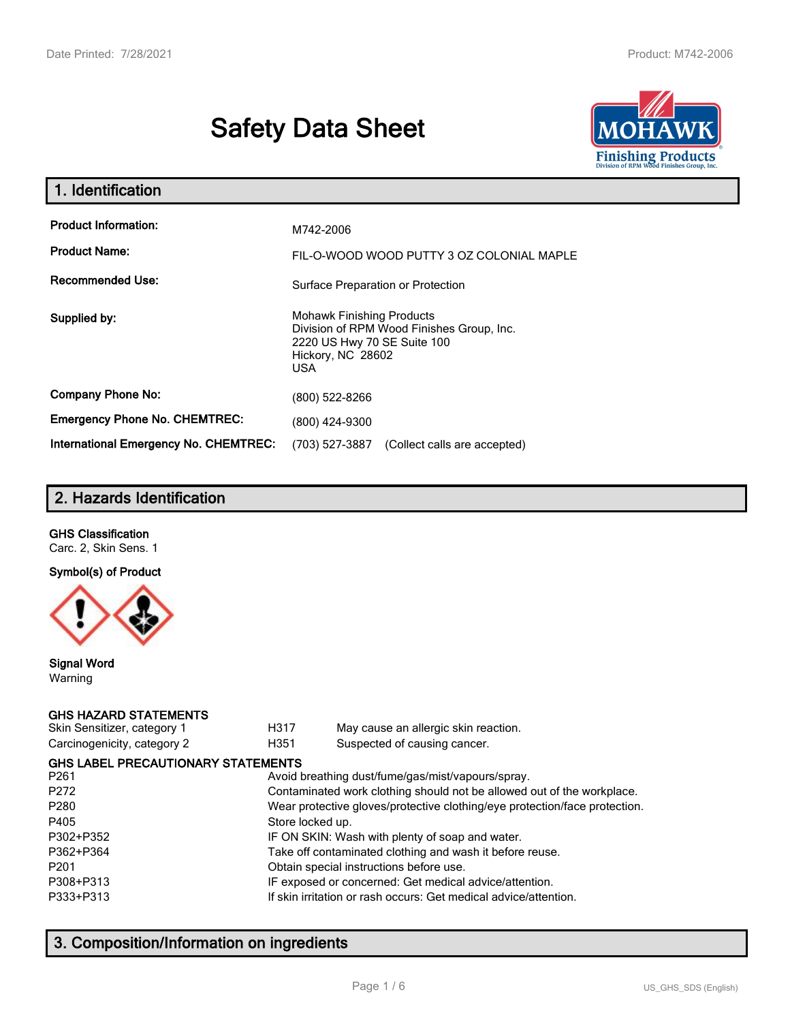# **Safety Data Sheet**



| 1. Identification                            |                                                                                                                                                 |  |  |  |
|----------------------------------------------|-------------------------------------------------------------------------------------------------------------------------------------------------|--|--|--|
| <b>Product Information:</b>                  | M742-2006                                                                                                                                       |  |  |  |
| <b>Product Name:</b>                         | FIL-O-WOOD WOOD PUTTY 3 OZ COLONIAL MAPLE                                                                                                       |  |  |  |
| <b>Recommended Use:</b>                      | Surface Preparation or Protection                                                                                                               |  |  |  |
| Supplied by:                                 | <b>Mohawk Finishing Products</b><br>Division of RPM Wood Finishes Group, Inc.<br>2220 US Hwy 70 SE Suite 100<br>Hickory, NC 28602<br><b>USA</b> |  |  |  |
| <b>Company Phone No:</b>                     | (800) 522-8266                                                                                                                                  |  |  |  |
| <b>Emergency Phone No. CHEMTREC:</b>         | (800) 424-9300                                                                                                                                  |  |  |  |
| <b>International Emergency No. CHEMTREC:</b> | (703) 527-3887<br>(Collect calls are accepted)                                                                                                  |  |  |  |

# **2. Hazards Identification**

#### **GHS Classification**

Carc. 2, Skin Sens. 1

#### **Symbol(s) of Product**



#### **Signal Word** Warning

#### **GHS HAZARD STATEMENTS**

| Skin Sensitizer, category 1 |  |
|-----------------------------|--|
| Carcinogenicity, category 2 |  |

H317 May cause an allergic skin reaction. genicity, category 2 **H351** Suspected of causing cancer.

| <b>GHS LABEL PRECAUTIONARY STATEMENTS</b> |                                                                            |
|-------------------------------------------|----------------------------------------------------------------------------|
| P261                                      | Avoid breathing dust/fume/gas/mist/vapours/spray.                          |
| P272                                      | Contaminated work clothing should not be allowed out of the workplace.     |
| P280                                      | Wear protective gloves/protective clothing/eye protection/face protection. |
| P405                                      | Store locked up.                                                           |
| P302+P352                                 | IF ON SKIN: Wash with plenty of soap and water.                            |
| P362+P364                                 | Take off contaminated clothing and wash it before reuse.                   |
| P201                                      | Obtain special instructions before use.                                    |
| P308+P313                                 | IF exposed or concerned: Get medical advice/attention.                     |
| P333+P313                                 | If skin irritation or rash occurs: Get medical advice/attention.           |
|                                           |                                                                            |

# **3. Composition/Information on ingredients**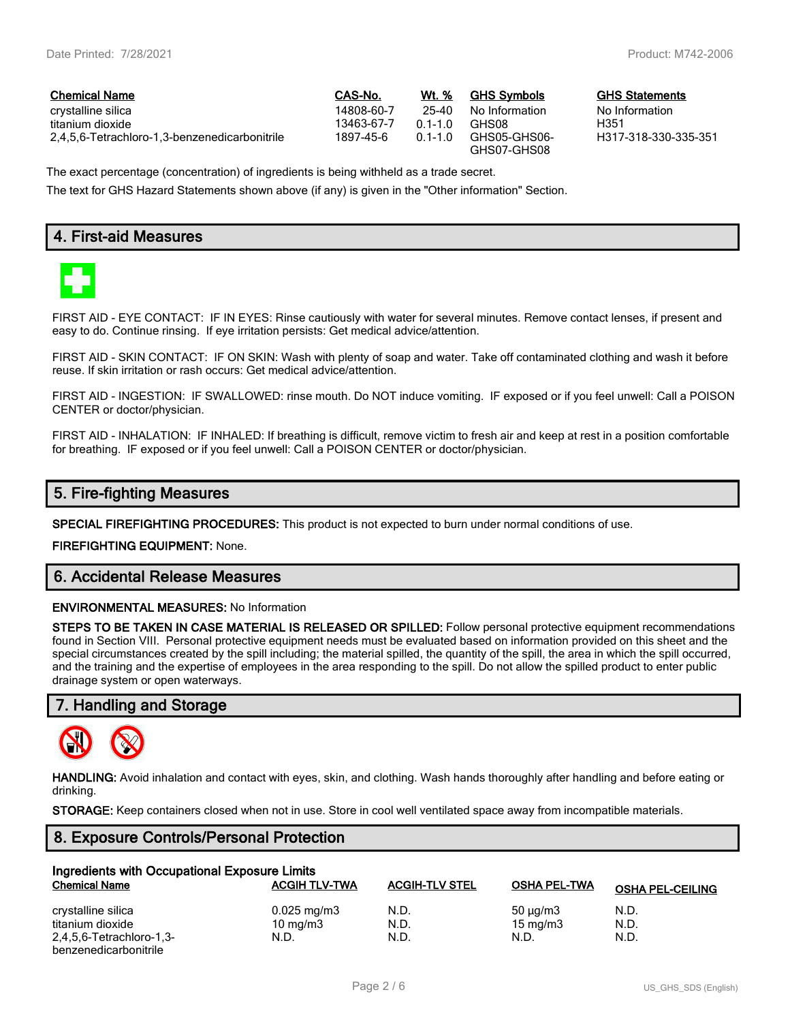$GHS$  Statements No Information<br>H351

H317-318-330-335-351

| <b>Chemical Name</b>                          | CAS-No.    | Wt. %     | <b>GHS Symbols</b>          | <b>GHS</b> |
|-----------------------------------------------|------------|-----------|-----------------------------|------------|
| crystalline silica                            | 14808-60-7 | 25-40     | No Information              | No In      |
| titanium dioxide                              | 13463-67-7 | $01-10$   | GHS08                       | H351       |
| 2.4.5.6-Tetrachloro-1.3-benzenedicarbonitrile | 1897-45-6  | $01 - 10$ | GHS05-GHS06-<br>GHS07-GHS08 | H317       |

The exact percentage (concentration) of ingredients is being withheld as a trade secret.

The text for GHS Hazard Statements shown above (if any) is given in the "Other information" Section.

## **4. First-aid Measures**



FIRST AID - EYE CONTACT: IF IN EYES: Rinse cautiously with water for several minutes. Remove contact lenses, if present and easy to do. Continue rinsing. If eye irritation persists: Get medical advice/attention.

FIRST AID - SKIN CONTACT: IF ON SKIN: Wash with plenty of soap and water. Take off contaminated clothing and wash it before reuse. If skin irritation or rash occurs: Get medical advice/attention.

FIRST AID - INGESTION: IF SWALLOWED: rinse mouth. Do NOT induce vomiting. IF exposed or if you feel unwell: Call a POISON CENTER or doctor/physician.

FIRST AID - INHALATION: IF INHALED: If breathing is difficult, remove victim to fresh air and keep at rest in a position comfortable for breathing. IF exposed or if you feel unwell: Call a POISON CENTER or doctor/physician.

## **5. Fire-fighting Measures**

**SPECIAL FIREFIGHTING PROCEDURES:** This product is not expected to burn under normal conditions of use.

**FIREFIGHTING EQUIPMENT:** None.

## **6. Accidental Release Measures**

#### **ENVIRONMENTAL MEASURES:** No Information

**STEPS TO BE TAKEN IN CASE MATERIAL IS RELEASED OR SPILLED:** Follow personal protective equipment recommendations found in Section VIII. Personal protective equipment needs must be evaluated based on information provided on this sheet and the special circumstances created by the spill including; the material spilled, the quantity of the spill, the area in which the spill occurred, and the training and the expertise of employees in the area responding to the spill. Do not allow the spilled product to enter public drainage system or open waterways.

## **7. Handling and Storage**



**HANDLING:** Avoid inhalation and contact with eyes, skin, and clothing. Wash hands thoroughly after handling and before eating or drinking.

**STORAGE:** Keep containers closed when not in use. Store in cool well ventilated space away from incompatible materials.

#### **8. Exposure Controls/Personal Protection**

| Ingredients with Occupational Exposure Limits |                         |                       |                     |                         |  |  |
|-----------------------------------------------|-------------------------|-----------------------|---------------------|-------------------------|--|--|
| <b>Chemical Name</b>                          | <b>ACGIH TLV-TWA</b>    | <b>ACGIH-TLV STEL</b> | <b>OSHA PEL-TWA</b> | <b>OSHA PEL-CEILING</b> |  |  |
| crystalline silica                            | $0.025 \,\mathrm{mg/m}$ | N.D.                  | 50 $\mu$ g/m3       | N.D.                    |  |  |
| titanium dioxide                              | 10 $mq/m3$              | N.D.                  | 15 mg/m $3$         | N.D.                    |  |  |
| 2,4,5,6-Tetrachloro-1,3-                      | N.D.                    | N.D.                  | N.D.                | N.D.                    |  |  |
| benzenedicarbonitrile                         |                         |                       |                     |                         |  |  |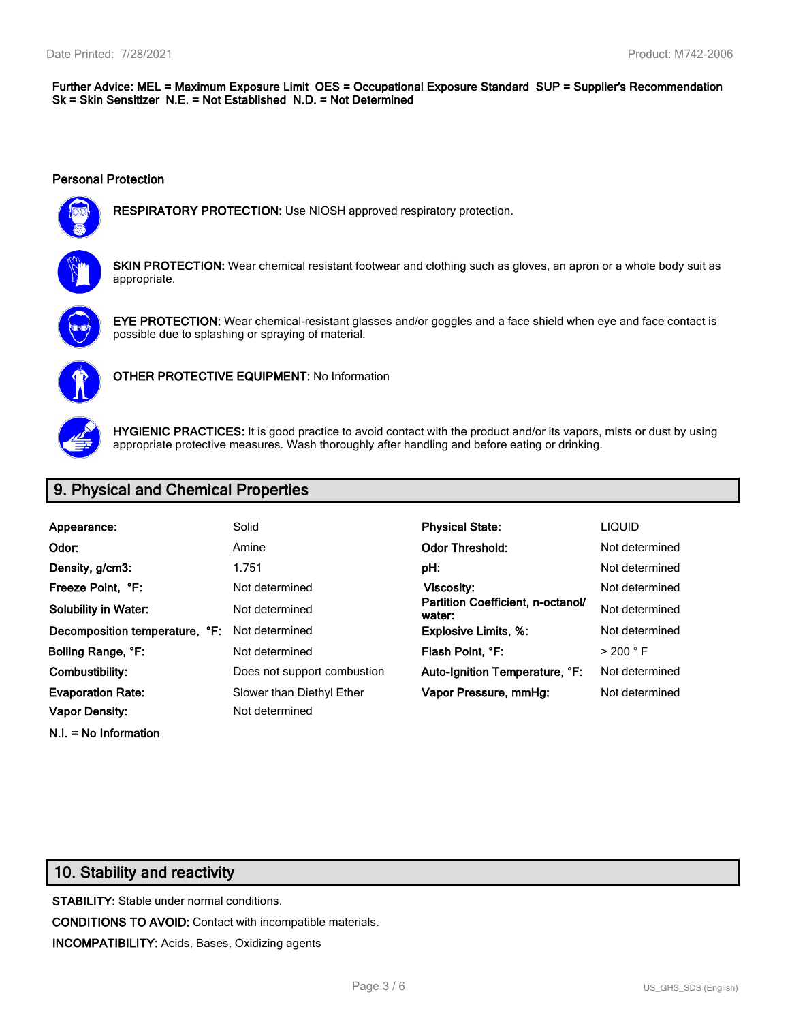#### **Further Advice: MEL = Maximum Exposure Limit OES = Occupational Exposure Standard SUP = Supplier's Recommendation Sk = Skin Sensitizer N.E. = Not Established N.D. = Not Determined**

#### **Personal Protection**



**RESPIRATORY PROTECTION:** Use NIOSH approved respiratory protection.



**SKIN PROTECTION:** Wear chemical resistant footwear and clothing such as gloves, an apron or a whole body suit as appropriate.



**EYE PROTECTION:** Wear chemical-resistant glasses and/or goggles and a face shield when eye and face contact is possible due to splashing or spraying of material.



**OTHER PROTECTIVE EQUIPMENT:** No Information



**HYGIENIC PRACTICES:** It is good practice to avoid contact with the product and/or its vapors, mists or dust by using appropriate protective measures. Wash thoroughly after handling and before eating or drinking.

## **9. Physical and Chemical Properties**

| Appearance:                    | Solid                       | <b>Physical State:</b>                      | <b>LIQUID</b>        |
|--------------------------------|-----------------------------|---------------------------------------------|----------------------|
| Odor:                          | Amine                       | <b>Odor Threshold:</b>                      | Not determined       |
| Density, g/cm3:                | 1.751                       | pH:                                         | Not determined       |
| Freeze Point. °F:              | Not determined              | Viscosity:                                  | Not determined       |
| <b>Solubility in Water:</b>    | Not determined              | Partition Coefficient, n-octanol/<br>water: | Not determined       |
| Decomposition temperature, °F: | Not determined              | <b>Explosive Limits, %:</b>                 | Not determined       |
| Boiling Range, °F:             | Not determined              | Flash Point, °F:                            | $>$ 200 $^{\circ}$ F |
| Combustibility:                | Does not support combustion | Auto-Ignition Temperature, °F:              | Not determined       |
| <b>Evaporation Rate:</b>       | Slower than Diethyl Ether   | Vapor Pressure, mmHg:                       | Not determined       |
| <b>Vapor Density:</b>          | Not determined              |                                             |                      |
|                                |                             |                                             |                      |

**N.I. = No Information**

# **10. Stability and reactivity**

**STABILITY:** Stable under normal conditions. **CONDITIONS TO AVOID:** Contact with incompatible materials. **INCOMPATIBILITY:** Acids, Bases, Oxidizing agents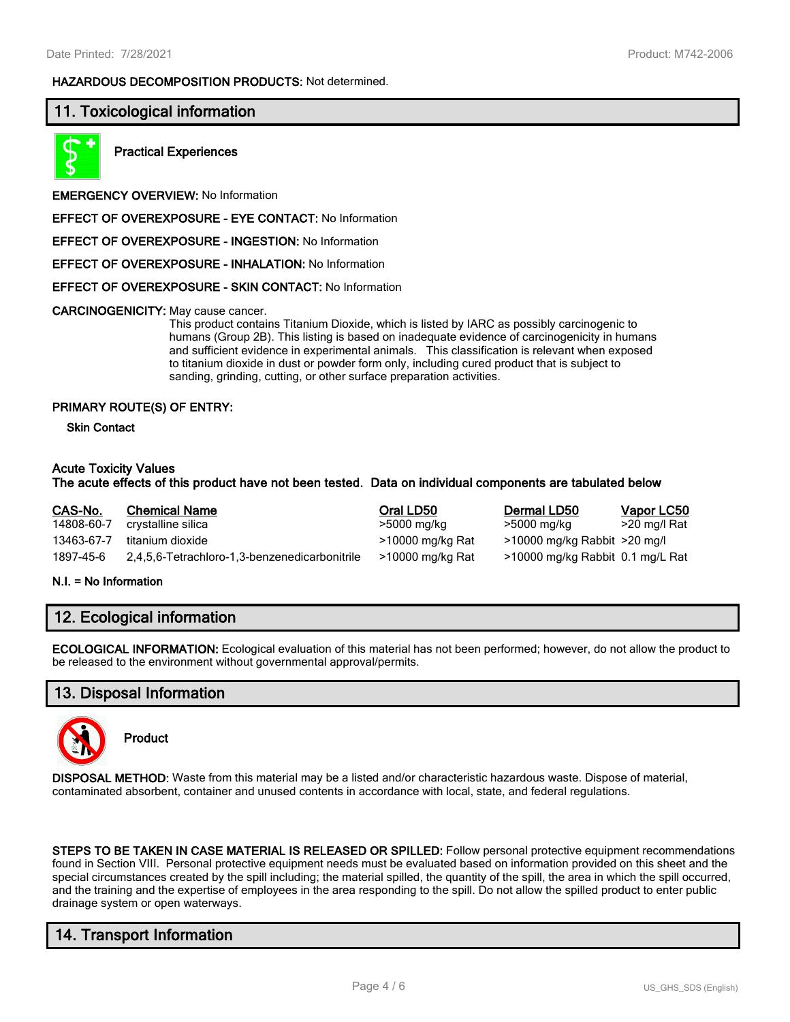#### **HAZARDOUS DECOMPOSITION PRODUCTS:** Not determined.

## **11. Toxicological information**



**Practical Experiences**

**EMERGENCY OVERVIEW:** No Information

**EFFECT OF OVEREXPOSURE - EYE CONTACT:** No Information

**EFFECT OF OVEREXPOSURE - INGESTION:** No Information

**EFFECT OF OVEREXPOSURE - INHALATION:** No Information

**EFFECT OF OVEREXPOSURE - SKIN CONTACT:** No Information

**CARCINOGENICITY:** May cause cancer.

This product contains Titanium Dioxide, which is listed by IARC as possibly carcinogenic to humans (Group 2B). This listing is based on inadequate evidence of carcinogenicity in humans and sufficient evidence in experimental animals. This classification is relevant when exposed to titanium dioxide in dust or powder form only, including cured product that is subject to sanding, grinding, cutting, or other surface preparation activities.

#### **PRIMARY ROUTE(S) OF ENTRY:**

**Skin Contact**

#### **Acute Toxicity Values**

#### **The acute effects of this product have not been tested. Data on individual components are tabulated below**

| CAS-No.    | <b>Chemical Name</b>                          | Oral LD50        | Dermal LD50                      | Vapor LC50   |
|------------|-----------------------------------------------|------------------|----------------------------------|--------------|
| 14808-60-7 | crystalline silica                            | >5000 mg/kg      | >5000 mg/kg                      | >20 mg/l Rat |
| 13463-67-7 | titanium dioxide                              | >10000 mg/kg Rat | $>10000$ mg/kg Rabbit $>20$ mg/l |              |
| 1897-45-6  | 2,4,5,6-Tetrachloro-1,3-benzenedicarbonitrile | >10000 mg/kg Rat | >10000 mg/kg Rabbit 0.1 mg/L Rat |              |

#### **N.I. = No Information**

## **12. Ecological information**

**ECOLOGICAL INFORMATION:** Ecological evaluation of this material has not been performed; however, do not allow the product to be released to the environment without governmental approval/permits.

#### **13. Disposal Information**



**Product**

**DISPOSAL METHOD:** Waste from this material may be a listed and/or characteristic hazardous waste. Dispose of material, contaminated absorbent, container and unused contents in accordance with local, state, and federal regulations.

**STEPS TO BE TAKEN IN CASE MATERIAL IS RELEASED OR SPILLED:** Follow personal protective equipment recommendations found in Section VIII. Personal protective equipment needs must be evaluated based on information provided on this sheet and the special circumstances created by the spill including; the material spilled, the quantity of the spill, the area in which the spill occurred, and the training and the expertise of employees in the area responding to the spill. Do not allow the spilled product to enter public drainage system or open waterways.

## **14. Transport Information**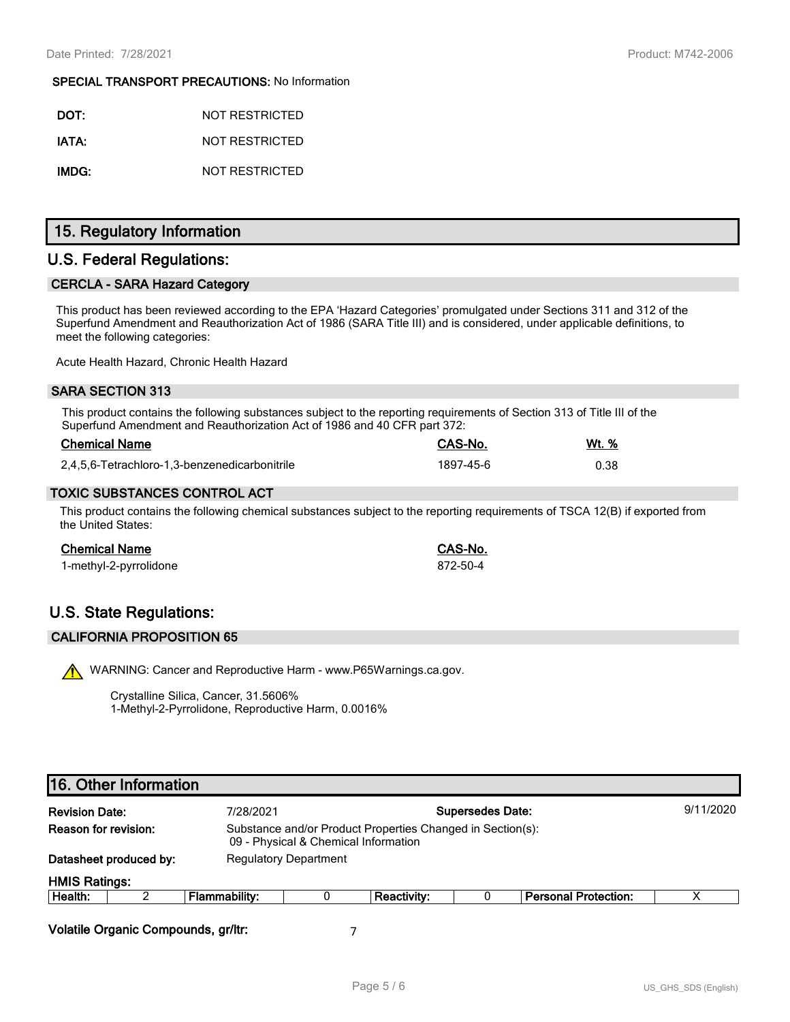#### **SPECIAL TRANSPORT PRECAUTIONS:** No Information

| DOT:  | NOT RESTRICTED |
|-------|----------------|
| IATA: | NOT RESTRICTED |
| IMDG: | NOT RESTRICTED |

## **15. Regulatory Information**

## **U.S. Federal Regulations:**

## **CERCLA - SARA Hazard Category**

This product has been reviewed according to the EPA 'Hazard Categories' promulgated under Sections 311 and 312 of the Superfund Amendment and Reauthorization Act of 1986 (SARA Title III) and is considered, under applicable definitions, to meet the following categories:

Acute Health Hazard, Chronic Health Hazard

#### **SARA SECTION 313**

This product contains the following substances subject to the reporting requirements of Section 313 of Title III of the Superfund Amendment and Reauthorization Act of 1986 and 40 CFR part 372:

| <b>Chemical Name</b>                          | CAS-No.   | Wt. % |
|-----------------------------------------------|-----------|-------|
| 2,4,5,6-Tetrachloro-1,3-benzenedicarbonitrile | 1897-45-6 | 0.38  |

#### **TOXIC SUBSTANCES CONTROL ACT**

This product contains the following chemical substances subject to the reporting requirements of TSCA 12(B) if exported from the United States:

| Chemical Name          | CAS-No.  |
|------------------------|----------|
| 1-methyl-2-pyrrolidone | 872-50-4 |

# **U.S. State Regulations:**

#### **CALIFORNIA PROPOSITION 65**

WARNING: Cancer and Reproductive Harm - www.P65Warnings.ca.gov.

Crystalline Silica, Cancer, 31.5606% 1-Methyl-2-Pyrrolidone, Reproductive Harm, 0.0016%

## **16. Other Information**

| <b>Revision Date:</b>       |                                     | 7/28/2021                    |                                                                                                    |                    | <b>Supersedes Date:</b> |                             | 9/11/2020 |
|-----------------------------|-------------------------------------|------------------------------|----------------------------------------------------------------------------------------------------|--------------------|-------------------------|-----------------------------|-----------|
| <b>Reason for revision:</b> |                                     |                              | Substance and/or Product Properties Changed in Section(s):<br>09 - Physical & Chemical Information |                    |                         |                             |           |
|                             | Datasheet produced by:              | <b>Regulatory Department</b> |                                                                                                    |                    |                         |                             |           |
| <b>HMIS Ratings:</b>        |                                     |                              |                                                                                                    |                    |                         |                             |           |
| Health:                     |                                     | Flammability:                |                                                                                                    | <b>Reactivity:</b> |                         | <b>Personal Protection:</b> |           |
|                             | Volatile Organic Compounds, gr/ltr: |                              |                                                                                                    |                    |                         |                             |           |